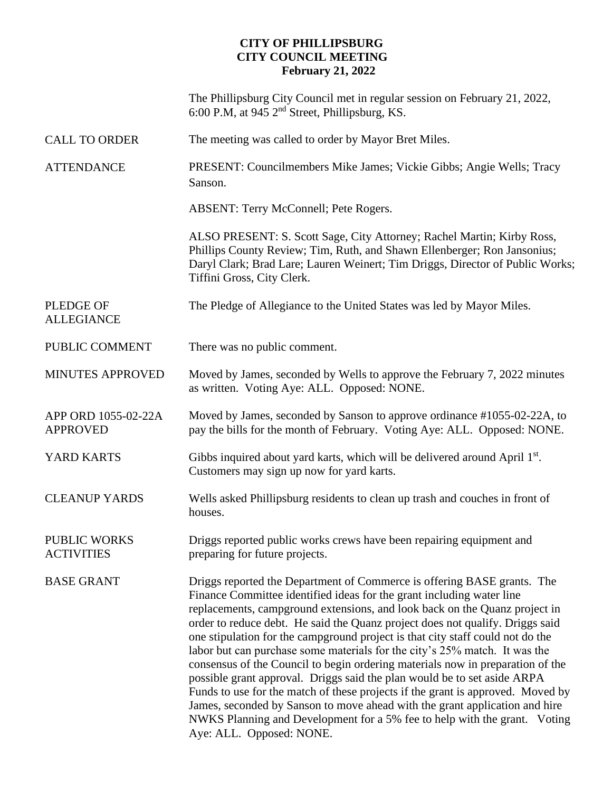# **CITY OF PHILLIPSBURG CITY COUNCIL MEETING February 21, 2022**

|                                          | The Phillipsburg City Council met in regular session on February 21, 2022,<br>6:00 P.M, at 945 2 <sup>nd</sup> Street, Phillipsburg, KS.                                                                                                                                                                                                                                                                                                                                                                                                                                                                                                                                                                                                                                                                                                                                                                                 |
|------------------------------------------|--------------------------------------------------------------------------------------------------------------------------------------------------------------------------------------------------------------------------------------------------------------------------------------------------------------------------------------------------------------------------------------------------------------------------------------------------------------------------------------------------------------------------------------------------------------------------------------------------------------------------------------------------------------------------------------------------------------------------------------------------------------------------------------------------------------------------------------------------------------------------------------------------------------------------|
| <b>CALL TO ORDER</b>                     | The meeting was called to order by Mayor Bret Miles.                                                                                                                                                                                                                                                                                                                                                                                                                                                                                                                                                                                                                                                                                                                                                                                                                                                                     |
| <b>ATTENDANCE</b>                        | PRESENT: Councilmembers Mike James; Vickie Gibbs; Angie Wells; Tracy<br>Sanson.                                                                                                                                                                                                                                                                                                                                                                                                                                                                                                                                                                                                                                                                                                                                                                                                                                          |
|                                          | ABSENT: Terry McConnell; Pete Rogers.                                                                                                                                                                                                                                                                                                                                                                                                                                                                                                                                                                                                                                                                                                                                                                                                                                                                                    |
|                                          | ALSO PRESENT: S. Scott Sage, City Attorney; Rachel Martin; Kirby Ross,<br>Phillips County Review; Tim, Ruth, and Shawn Ellenberger; Ron Jansonius;<br>Daryl Clark; Brad Lare; Lauren Weinert; Tim Driggs, Director of Public Works;<br>Tiffini Gross, City Clerk.                                                                                                                                                                                                                                                                                                                                                                                                                                                                                                                                                                                                                                                        |
| <b>PLEDGE OF</b><br><b>ALLEGIANCE</b>    | The Pledge of Allegiance to the United States was led by Mayor Miles.                                                                                                                                                                                                                                                                                                                                                                                                                                                                                                                                                                                                                                                                                                                                                                                                                                                    |
| PUBLIC COMMENT                           | There was no public comment.                                                                                                                                                                                                                                                                                                                                                                                                                                                                                                                                                                                                                                                                                                                                                                                                                                                                                             |
| <b>MINUTES APPROVED</b>                  | Moved by James, seconded by Wells to approve the February 7, 2022 minutes<br>as written. Voting Aye: ALL. Opposed: NONE.                                                                                                                                                                                                                                                                                                                                                                                                                                                                                                                                                                                                                                                                                                                                                                                                 |
| APP ORD 1055-02-22A<br><b>APPROVED</b>   | Moved by James, seconded by Sanson to approve ordinance #1055-02-22A, to<br>pay the bills for the month of February. Voting Aye: ALL. Opposed: NONE.                                                                                                                                                                                                                                                                                                                                                                                                                                                                                                                                                                                                                                                                                                                                                                     |
| YARD KARTS                               | Gibbs inquired about yard karts, which will be delivered around April 1 <sup>st</sup> .<br>Customers may sign up now for yard karts.                                                                                                                                                                                                                                                                                                                                                                                                                                                                                                                                                                                                                                                                                                                                                                                     |
| <b>CLEANUP YARDS</b>                     | Wells asked Phillipsburg residents to clean up trash and couches in front of<br>houses.                                                                                                                                                                                                                                                                                                                                                                                                                                                                                                                                                                                                                                                                                                                                                                                                                                  |
| <b>PUBLIC WORKS</b><br><b>ACTIVITIES</b> | Driggs reported public works crews have been repairing equipment and<br>preparing for future projects.                                                                                                                                                                                                                                                                                                                                                                                                                                                                                                                                                                                                                                                                                                                                                                                                                   |
| <b>BASE GRANT</b>                        | Driggs reported the Department of Commerce is offering BASE grants. The<br>Finance Committee identified ideas for the grant including water line<br>replacements, campground extensions, and look back on the Quanz project in<br>order to reduce debt. He said the Quanz project does not qualify. Driggs said<br>one stipulation for the campground project is that city staff could not do the<br>labor but can purchase some materials for the city's 25% match. It was the<br>consensus of the Council to begin ordering materials now in preparation of the<br>possible grant approval. Driggs said the plan would be to set aside ARPA<br>Funds to use for the match of these projects if the grant is approved. Moved by<br>James, seconded by Sanson to move ahead with the grant application and hire<br>NWKS Planning and Development for a 5% fee to help with the grant. Voting<br>Aye: ALL. Opposed: NONE. |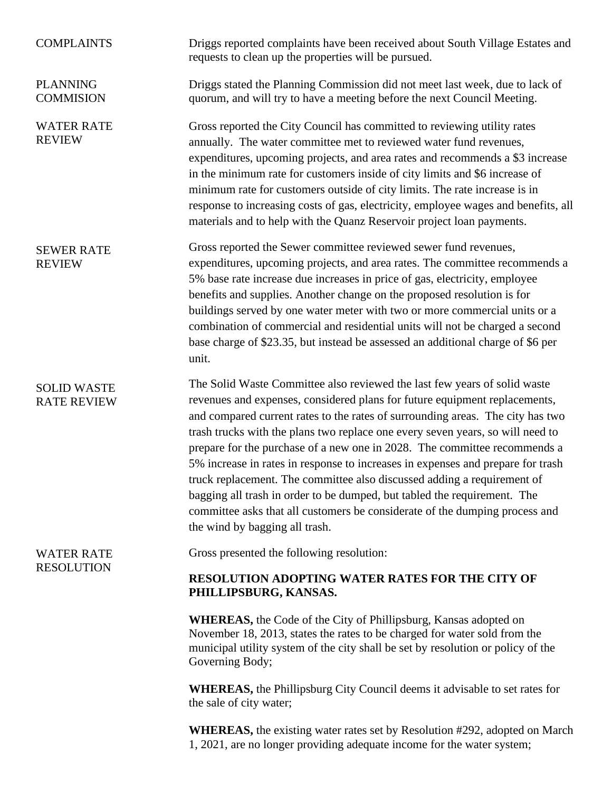| <b>COMPLAINTS</b>                        | Driggs reported complaints have been received about South Village Estates and<br>requests to clean up the properties will be pursued.                                                                                                                                                                                                                                                                                                                                                                                                                                                                                                                                                                                                                               |
|------------------------------------------|---------------------------------------------------------------------------------------------------------------------------------------------------------------------------------------------------------------------------------------------------------------------------------------------------------------------------------------------------------------------------------------------------------------------------------------------------------------------------------------------------------------------------------------------------------------------------------------------------------------------------------------------------------------------------------------------------------------------------------------------------------------------|
| <b>PLANNING</b><br><b>COMMISION</b>      | Driggs stated the Planning Commission did not meet last week, due to lack of<br>quorum, and will try to have a meeting before the next Council Meeting.                                                                                                                                                                                                                                                                                                                                                                                                                                                                                                                                                                                                             |
| <b>WATER RATE</b><br><b>REVIEW</b>       | Gross reported the City Council has committed to reviewing utility rates<br>annually. The water committee met to reviewed water fund revenues,<br>expenditures, upcoming projects, and area rates and recommends a \$3 increase<br>in the minimum rate for customers inside of city limits and \$6 increase of<br>minimum rate for customers outside of city limits. The rate increase is in<br>response to increasing costs of gas, electricity, employee wages and benefits, all<br>materials and to help with the Quanz Reservoir project loan payments.                                                                                                                                                                                                         |
| <b>SEWER RATE</b><br><b>REVIEW</b>       | Gross reported the Sewer committee reviewed sewer fund revenues,<br>expenditures, upcoming projects, and area rates. The committee recommends a<br>5% base rate increase due increases in price of gas, electricity, employee<br>benefits and supplies. Another change on the proposed resolution is for<br>buildings served by one water meter with two or more commercial units or a<br>combination of commercial and residential units will not be charged a second<br>base charge of \$23.35, but instead be assessed an additional charge of \$6 per<br>unit.                                                                                                                                                                                                  |
| <b>SOLID WASTE</b><br><b>RATE REVIEW</b> | The Solid Waste Committee also reviewed the last few years of solid waste<br>revenues and expenses, considered plans for future equipment replacements,<br>and compared current rates to the rates of surrounding areas. The city has two<br>trash trucks with the plans two replace one every seven years, so will need to<br>prepare for the purchase of a new one in 2028. The committee recommends a<br>5% increase in rates in response to increases in expenses and prepare for trash<br>truck replacement. The committee also discussed adding a requirement of<br>bagging all trash in order to be dumped, but tabled the requirement. The<br>committee asks that all customers be considerate of the dumping process and<br>the wind by bagging all trash. |
| <b>WATER RATE</b><br><b>RESOLUTION</b>   | Gross presented the following resolution:<br>RESOLUTION ADOPTING WATER RATES FOR THE CITY OF                                                                                                                                                                                                                                                                                                                                                                                                                                                                                                                                                                                                                                                                        |
|                                          | PHILLIPSBURG, KANSAS.                                                                                                                                                                                                                                                                                                                                                                                                                                                                                                                                                                                                                                                                                                                                               |
|                                          | <b>WHEREAS</b> , the Code of the City of Phillipsburg, Kansas adopted on<br>November 18, 2013, states the rates to be charged for water sold from the<br>municipal utility system of the city shall be set by resolution or policy of the<br>Governing Body;                                                                                                                                                                                                                                                                                                                                                                                                                                                                                                        |
|                                          | <b>WHEREAS</b> , the Phillipsburg City Council deems it advisable to set rates for<br>the sale of city water;                                                                                                                                                                                                                                                                                                                                                                                                                                                                                                                                                                                                                                                       |
|                                          | <b>WHEREAS,</b> the existing water rates set by Resolution #292, adopted on March<br>1, 2021, are no longer providing adequate income for the water system;                                                                                                                                                                                                                                                                                                                                                                                                                                                                                                                                                                                                         |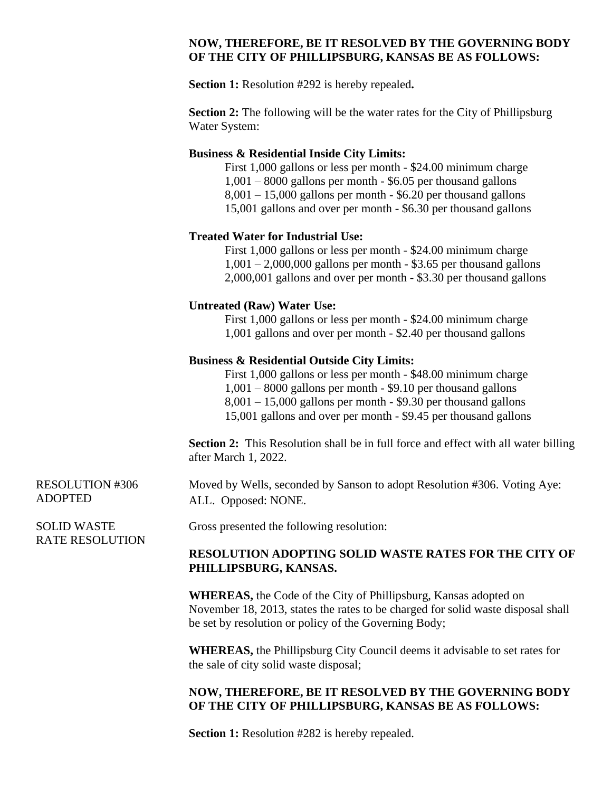### **NOW, THEREFORE, BE IT RESOLVED BY THE GOVERNING BODY OF THE CITY OF PHILLIPSBURG, KANSAS BE AS FOLLOWS:**

**Section 1:** Resolution #292 is hereby repealed**.**

**Section 2:** The following will be the water rates for the City of Phillipsburg Water System:

#### **Business & Residential Inside City Limits:**

First 1,000 gallons or less per month - \$24.00 minimum charge 1,001 – 8000 gallons per month - \$6.05 per thousand gallons  $8,001 - 15,000$  gallons per month - \$6.20 per thousand gallons 15,001 gallons and over per month - \$6.30 per thousand gallons

### **Treated Water for Industrial Use:**

First 1,000 gallons or less per month - \$24.00 minimum charge  $1,001 - 2,000,000$  gallons per month - \$3.65 per thousand gallons 2,000,001 gallons and over per month - \$3.30 per thousand gallons

#### **Untreated (Raw) Water Use:**

First 1,000 gallons or less per month - \$24.00 minimum charge 1,001 gallons and over per month - \$2.40 per thousand gallons

#### **Business & Residential Outside City Limits:**

First 1,000 gallons or less per month - \$48.00 minimum charge 1,001 – 8000 gallons per month - \$9.10 per thousand gallons  $8,001 - 15,000$  gallons per month - \$9.30 per thousand gallons 15,001 gallons and over per month - \$9.45 per thousand gallons

**Section 2:** This Resolution shall be in full force and effect with all water billing after March 1, 2022.

Moved by Wells, seconded by Sanson to adopt Resolution #306. Voting Aye: ALL. Opposed: NONE.

Gross presented the following resolution:

### **RESOLUTION ADOPTING SOLID WASTE RATES FOR THE CITY OF PHILLIPSBURG, KANSAS.**

**WHEREAS,** the Code of the City of Phillipsburg, Kansas adopted on November 18, 2013, states the rates to be charged for solid waste disposal shall be set by resolution or policy of the Governing Body;

**WHEREAS,** the Phillipsburg City Council deems it advisable to set rates for the sale of city solid waste disposal;

# **NOW, THEREFORE, BE IT RESOLVED BY THE GOVERNING BODY OF THE CITY OF PHILLIPSBURG, KANSAS BE AS FOLLOWS:**

**Section 1:** Resolution #282 is hereby repealed.

ADOPTED

RESOLUTION #306

SOLID WASTE RATE RESOLUTION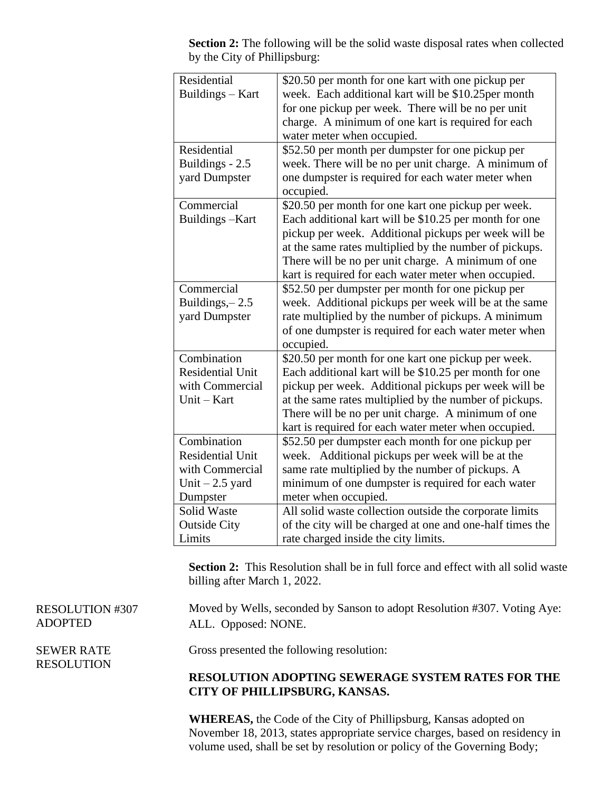| Residential             | \$20.50 per month for one kart with one pickup per        |
|-------------------------|-----------------------------------------------------------|
| Buildings - Kart        | week. Each additional kart will be \$10.25per month       |
|                         | for one pickup per week. There will be no per unit        |
|                         | charge. A minimum of one kart is required for each        |
|                         | water meter when occupied.                                |
| Residential             | \$52.50 per month per dumpster for one pickup per         |
| Buildings - 2.5         | week. There will be no per unit charge. A minimum of      |
| yard Dumpster           | one dumpster is required for each water meter when        |
|                         | occupied.                                                 |
| Commercial              | \$20.50 per month for one kart one pickup per week.       |
| Buildings-Kart          | Each additional kart will be \$10.25 per month for one    |
|                         | pickup per week. Additional pickups per week will be      |
|                         | at the same rates multiplied by the number of pickups.    |
|                         | There will be no per unit charge. A minimum of one        |
|                         | kart is required for each water meter when occupied.      |
| Commercial              | \$52.50 per dumpster per month for one pickup per         |
| Buildings, $-2.5$       | week. Additional pickups per week will be at the same     |
| yard Dumpster           | rate multiplied by the number of pickups. A minimum       |
|                         | of one dumpster is required for each water meter when     |
|                         | occupied.                                                 |
| Combination             | \$20.50 per month for one kart one pickup per week.       |
| <b>Residential Unit</b> | Each additional kart will be \$10.25 per month for one    |
| with Commercial         | pickup per week. Additional pickups per week will be      |
| Unit - Kart             | at the same rates multiplied by the number of pickups.    |
|                         | There will be no per unit charge. A minimum of one        |
|                         | kart is required for each water meter when occupied.      |
| Combination             | \$52.50 per dumpster each month for one pickup per        |
| <b>Residential Unit</b> | week. Additional pickups per week will be at the          |
| with Commercial         | same rate multiplied by the number of pickups. A          |
| Unit $-2.5$ yard        | minimum of one dumpster is required for each water        |
| Dumpster                | meter when occupied.                                      |
| <b>Solid Waste</b>      | All solid waste collection outside the corporate limits   |
| <b>Outside City</b>     | of the city will be charged at one and one-half times the |
| Limits                  | rate charged inside the city limits.                      |

**Section 2:** The following will be the solid waste disposal rates when collected by the City of Phillipsburg:

**Section 2:** This Resolution shall be in full force and effect with all solid waste billing after March 1, 2022.

Moved by Wells, seconded by Sanson to adopt Resolution #307. Voting Aye: ALL. Opposed: NONE.

Gross presented the following resolution:

# **RESOLUTION ADOPTING SEWERAGE SYSTEM RATES FOR THE CITY OF PHILLIPSBURG, KANSAS.**

**WHEREAS,** the Code of the City of Phillipsburg, Kansas adopted on November 18, 2013, states appropriate service charges, based on residency in volume used, shall be set by resolution or policy of the Governing Body;

RESOLUTION #307 ADOPTED

SEWER RATE RESOLUTION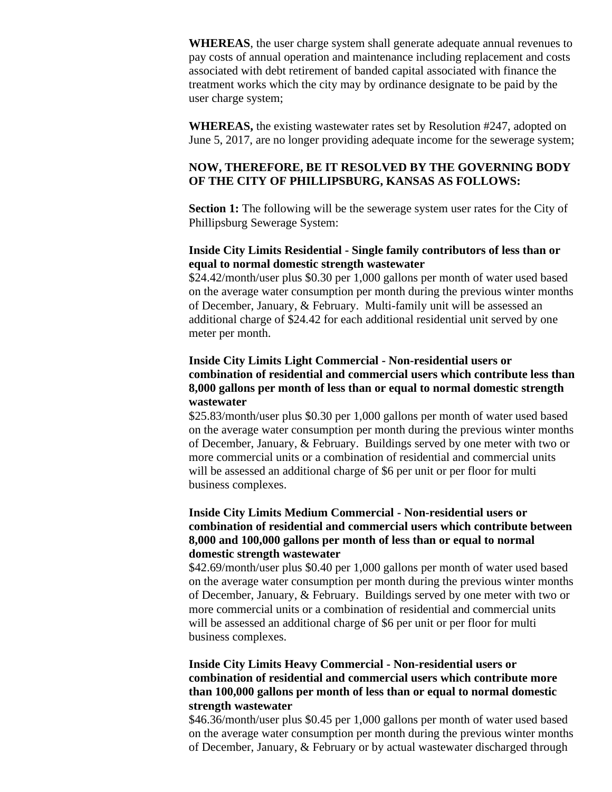**WHEREAS**, the user charge system shall generate adequate annual revenues to pay costs of annual operation and maintenance including replacement and costs associated with debt retirement of banded capital associated with finance the treatment works which the city may by ordinance designate to be paid by the user charge system;

**WHEREAS,** the existing wastewater rates set by Resolution #247, adopted on June 5, 2017, are no longer providing adequate income for the sewerage system;

# **NOW, THEREFORE, BE IT RESOLVED BY THE GOVERNING BODY OF THE CITY OF PHILLIPSBURG, KANSAS AS FOLLOWS:**

**Section 1:** The following will be the sewerage system user rates for the City of Phillipsburg Sewerage System:

## **Inside City Limits Residential - Single family contributors of less than or equal to normal domestic strength wastewater**

\$24.42/month/user plus \$0.30 per 1,000 gallons per month of water used based on the average water consumption per month during the previous winter months of December, January, & February. Multi-family unit will be assessed an additional charge of \$24.42 for each additional residential unit served by one meter per month.

## **Inside City Limits Light Commercial - Non-residential users or combination of residential and commercial users which contribute less than 8,000 gallons per month of less than or equal to normal domestic strength wastewater**

\$25.83/month/user plus \$0.30 per 1,000 gallons per month of water used based on the average water consumption per month during the previous winter months of December, January, & February. Buildings served by one meter with two or more commercial units or a combination of residential and commercial units will be assessed an additional charge of \$6 per unit or per floor for multi business complexes.

# **Inside City Limits Medium Commercial - Non-residential users or combination of residential and commercial users which contribute between 8,000 and 100,000 gallons per month of less than or equal to normal domestic strength wastewater**

\$42.69/month/user plus \$0.40 per 1,000 gallons per month of water used based on the average water consumption per month during the previous winter months of December, January, & February. Buildings served by one meter with two or more commercial units or a combination of residential and commercial units will be assessed an additional charge of \$6 per unit or per floor for multi business complexes.

# **Inside City Limits Heavy Commercial - Non-residential users or combination of residential and commercial users which contribute more than 100,000 gallons per month of less than or equal to normal domestic strength wastewater**

\$46.36/month/user plus \$0.45 per 1,000 gallons per month of water used based on the average water consumption per month during the previous winter months of December, January, & February or by actual wastewater discharged through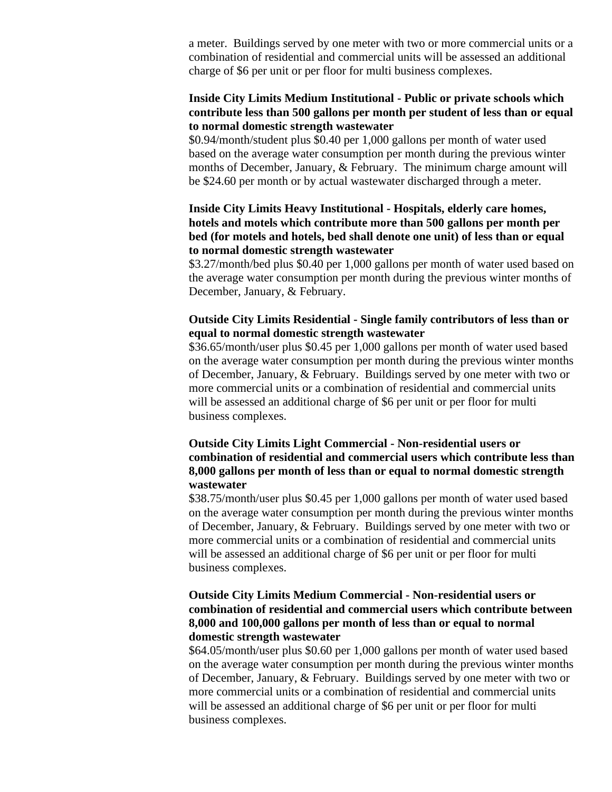a meter. Buildings served by one meter with two or more commercial units or a combination of residential and commercial units will be assessed an additional charge of \$6 per unit or per floor for multi business complexes.

## **Inside City Limits Medium Institutional - Public or private schools which contribute less than 500 gallons per month per student of less than or equal to normal domestic strength wastewater**

\$0.94/month/student plus \$0.40 per 1,000 gallons per month of water used based on the average water consumption per month during the previous winter months of December, January, & February. The minimum charge amount will be \$24.60 per month or by actual wastewater discharged through a meter.

# **Inside City Limits Heavy Institutional - Hospitals, elderly care homes, hotels and motels which contribute more than 500 gallons per month per bed (for motels and hotels, bed shall denote one unit) of less than or equal to normal domestic strength wastewater**

\$3.27/month/bed plus \$0.40 per 1,000 gallons per month of water used based on the average water consumption per month during the previous winter months of December, January, & February.

# **Outside City Limits Residential - Single family contributors of less than or equal to normal domestic strength wastewater**

\$36.65/month/user plus \$0.45 per 1,000 gallons per month of water used based on the average water consumption per month during the previous winter months of December, January, & February. Buildings served by one meter with two or more commercial units or a combination of residential and commercial units will be assessed an additional charge of \$6 per unit or per floor for multi business complexes.

## **Outside City Limits Light Commercial - Non-residential users or combination of residential and commercial users which contribute less than 8,000 gallons per month of less than or equal to normal domestic strength wastewater**

\$38.75/month/user plus \$0.45 per 1,000 gallons per month of water used based on the average water consumption per month during the previous winter months of December, January, & February. Buildings served by one meter with two or more commercial units or a combination of residential and commercial units will be assessed an additional charge of \$6 per unit or per floor for multi business complexes.

## **Outside City Limits Medium Commercial - Non-residential users or combination of residential and commercial users which contribute between 8,000 and 100,000 gallons per month of less than or equal to normal domestic strength wastewater**

\$64.05/month/user plus \$0.60 per 1,000 gallons per month of water used based on the average water consumption per month during the previous winter months of December, January, & February. Buildings served by one meter with two or more commercial units or a combination of residential and commercial units will be assessed an additional charge of \$6 per unit or per floor for multi business complexes.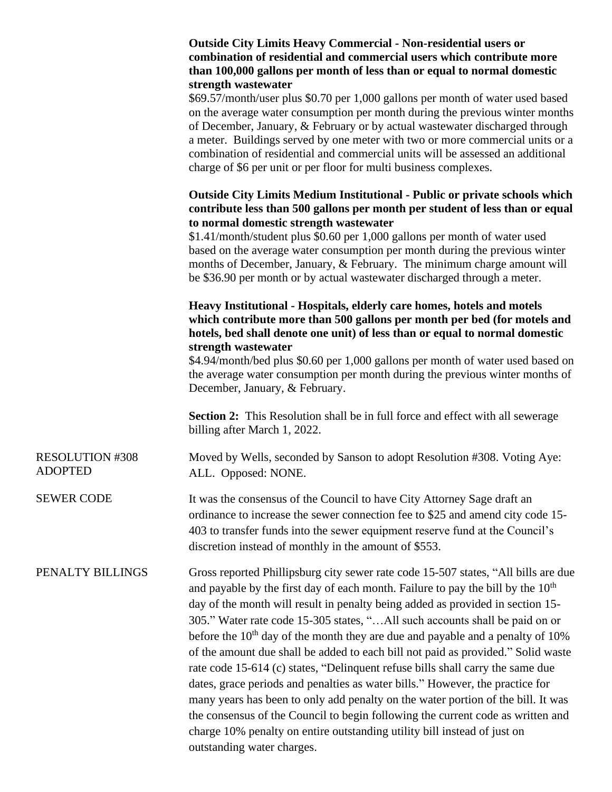|                                          | <b>Outside City Limits Heavy Commercial - Non-residential users or</b><br>combination of residential and commercial users which contribute more<br>than 100,000 gallons per month of less than or equal to normal domestic                                                                                                                                                                                                                                                                                                                                                                                                                                                                                                                                                                                                                                                                                                                                                     |
|------------------------------------------|--------------------------------------------------------------------------------------------------------------------------------------------------------------------------------------------------------------------------------------------------------------------------------------------------------------------------------------------------------------------------------------------------------------------------------------------------------------------------------------------------------------------------------------------------------------------------------------------------------------------------------------------------------------------------------------------------------------------------------------------------------------------------------------------------------------------------------------------------------------------------------------------------------------------------------------------------------------------------------|
|                                          | strength wastewater<br>\$69.57/month/user plus \$0.70 per 1,000 gallons per month of water used based<br>on the average water consumption per month during the previous winter months<br>of December, January, & February or by actual wastewater discharged through<br>a meter. Buildings served by one meter with two or more commercial units or a<br>combination of residential and commercial units will be assessed an additional<br>charge of \$6 per unit or per floor for multi business complexes.                                                                                                                                                                                                                                                                                                                                                                                                                                                                   |
|                                          | <b>Outside City Limits Medium Institutional - Public or private schools which</b><br>contribute less than 500 gallons per month per student of less than or equal<br>to normal domestic strength wastewater<br>\$1.41/month/student plus \$0.60 per 1,000 gallons per month of water used<br>based on the average water consumption per month during the previous winter<br>months of December, January, & February. The minimum charge amount will<br>be \$36.90 per month or by actual wastewater discharged through a meter.                                                                                                                                                                                                                                                                                                                                                                                                                                                |
|                                          | Heavy Institutional - Hospitals, elderly care homes, hotels and motels<br>which contribute more than 500 gallons per month per bed (for motels and<br>hotels, bed shall denote one unit) of less than or equal to normal domestic                                                                                                                                                                                                                                                                                                                                                                                                                                                                                                                                                                                                                                                                                                                                              |
|                                          | strength wastewater<br>\$4.94/month/bed plus \$0.60 per 1,000 gallons per month of water used based on<br>the average water consumption per month during the previous winter months of<br>December, January, & February.                                                                                                                                                                                                                                                                                                                                                                                                                                                                                                                                                                                                                                                                                                                                                       |
|                                          | <b>Section 2:</b> This Resolution shall be in full force and effect with all sewerage<br>billing after March 1, 2022.                                                                                                                                                                                                                                                                                                                                                                                                                                                                                                                                                                                                                                                                                                                                                                                                                                                          |
| <b>RESOLUTION #308</b><br><b>ADOPTED</b> | Moved by Wells, seconded by Sanson to adopt Resolution #308. Voting Aye:<br>ALL. Opposed: NONE.                                                                                                                                                                                                                                                                                                                                                                                                                                                                                                                                                                                                                                                                                                                                                                                                                                                                                |
| <b>SEWER CODE</b>                        | It was the consensus of the Council to have City Attorney Sage draft an<br>ordinance to increase the sewer connection fee to \$25 and amend city code 15-<br>403 to transfer funds into the sewer equipment reserve fund at the Council's<br>discretion instead of monthly in the amount of \$553.                                                                                                                                                                                                                                                                                                                                                                                                                                                                                                                                                                                                                                                                             |
| PENALTY BILLINGS                         | Gross reported Phillipsburg city sewer rate code 15-507 states, "All bills are due<br>and payable by the first day of each month. Failure to pay the bill by the $10th$<br>day of the month will result in penalty being added as provided in section 15-<br>305." Water rate code 15-305 states, "All such accounts shall be paid on or<br>before the 10 <sup>th</sup> day of the month they are due and payable and a penalty of 10%<br>of the amount due shall be added to each bill not paid as provided." Solid waste<br>rate code 15-614 (c) states, "Delinquent refuse bills shall carry the same due<br>dates, grace periods and penalties as water bills." However, the practice for<br>many years has been to only add penalty on the water portion of the bill. It was<br>the consensus of the Council to begin following the current code as written and<br>charge 10% penalty on entire outstanding utility bill instead of just on<br>outstanding water charges. |